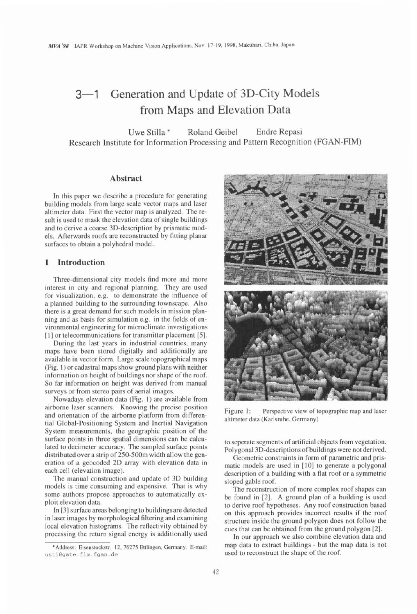# 3-1 Generation and Update of 3D-City Models from Maps and Elevation Data

Uwe Stilla \* Roland Geibel Endre Repasi Research Institute for Information Processing and Pattern Recognition (FGAN-FIM)

## **Abstract**

In this paper we describe a procedure for generating building models from large scale vector maps and laser altimeter data. First the vector map is analyzed. The result is used to mask the elevation data of single buildings and to derive a coarse 3D-description by prismatic models. Afterwards roofs are reconstructed by fitting planar surfaces to obtain a polyhedral model.

## **1 Introduction**

Three-dimensional city models find more and more interest in city and regional planning. They are used for visualization, e.g. to demonstrate the influence of a planned building to the surrounding townscape. Also there is a great demand for such models in mission planning and as basis for simulation e.g. in the fields of environmental engineering for microclimate investigations [1] or telecommunications for transmitter placement [5].

During the last years in industrial countries, many maps have been stored digitally and additionally are available in vector form. Large scale topographical maps (Fig. 1) or cadastral maps show ground plans with neither information on height of buildings nor shape of the roof. So far information on height was derived from manual surveys or from stereo pairs of aerial images.

Nowadays elevation data (Fig. I) are available from airborne laser scanners. Knowing the precise position and orientation of the airborne platform from differential Global-Positioning System and Inertial Navigation System measurements, the geographic position of the surface points in three spatial dimensions can be calculated to decimeter accuracy. The sampled surface points distributed over a strip of 250-500m width allow the generation of a geocoded 2D array with elevation data in each cell (elevation image).

The manual construction and update of 3D building models is time consuming and expensive. That is why some authors propose approaches to automatically exploit elevation data.

In [3] surface areas belonging to buildingsare detected in laser images by morphological filtering and examining local elevation histograms. The reflectivity obtained by processing the return signal energy is additionally used



Figure 1: Perspective view of topographic map and laser altimeter data (Karlsruhe, Germany)

to seperate segments of artificial objects from vegetation. Polygonal 3D-descriptions of buildings were not derived.

Geometric constraints in form of parametric and prismatic models are used in [10] to generate a polygonal description of a building with a flat roof or a symmetric sloped gable roof.

The reconstruction of more complex roof shapes can be found in [2]. A ground plan of a building is used to derive roof hypotheses. Any roof construction based on this approach provides incorrect results if the roof structure inside the ground polygon does not follow the cues that can be obtained from the ground polygon [21.

In our approach we also combine elevation data and map data to extract buildings - but the map data is not used to reconstruct the shape of the roof.

**<sup>&#</sup>x27;Address: Eisenstockstr. 12, 76275 Enlingen. Germany. E-mail:**  usti@gate.fim.fgan.de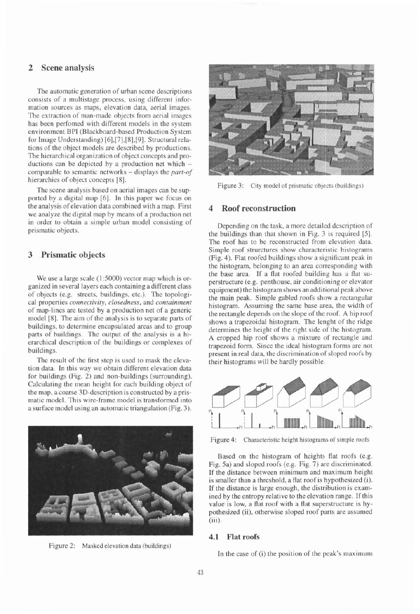# **2 Scene analysis**

The automatic generation of urban scene descriptions consists of a multistage process, using different information sources as maps, elevation data, aerial images. The extraction of man-made objects from aerial images has been perfomed with different models in the system environment BPI (Blackboard-based Production System for Image Understanding) [6],[7],[8],[9]. Structural relations of the object models are described by productions. The hierarchical organization of object concepts and productions can be depicted by a production net which comparable to semantic networks - displays the *part-of*  hierarchies of object concepts [8].

The scene analysis based on aerial images can be supported by a digital map [6]. In this paper we focus on the analysis of elevation data combined with a map. First we analyze the digital map by means of a production net in order to obtain a simple urban model consisting of prismatic objects.

## **3 Prismatic objects**

We use a large scale  $(1:5000)$  vector map which is organized in several layers each containing adifferent class of objects (e.g. streets, buildings, etc.). The topological properties *connectivity, closedness,* and *containment*  of map-lines are tested by a production net of a generic model [8]. The aim of the analysis is to separate parts of buildings, to determine encapsulated areas and to group parts of buildings. The output of the analysis is a hierarchical description of the buildings or complexes of buildings.

The result of the first step is used to mask the elevation data. In this way we obtain different elevation data for buildings (Fig. 2) and non-buildings (surrounding). Calculating the mean height for each building object of the map, a coarse 3D-description is constructed by a prismatic model. This wire-frame model is transformed into a surface model using an automatic triangulation (Fig. 3).



Figure 2: Masked elevation data (buildings)



Figure 3: City model of prismatic objects (buildings)

#### **4 Roof reconstruction**

Depending on the task, a more detailed description of the buildings than that shown in Fig. 3 is required [5]. The roof has to be reconstructed from elevation data. Simple roof strurctures show characteristic histograms (Fig. 4). Flat roofed buildings show a significant peak in the histogram, belonging to an area corresponding with the base area. If a flat roofed building has a flat superstructure (e.g. penthouse, air conditioning or elevator equipment) the histogram shows an additional peak above the main peak. Simple gabled roofs show a rectangular histogram. Assuming the same base area, the width of the rectangle depends on the slope of the roof. A hip roof shows a trapezoidal histogram. The lenght of the ridge determines the height of the right side of the histogram. A cropped hip roof shows a mixture of rectangle and trapezoid form. Since the ideal histogram forms are not present in real data, the discrimination of sloped roofs by their histograms will be hardly possible.



Figure 4: Characteristic height histograms of simple roofs

Based on the histogram of heights flat roofs (e.g. Fig. 5a) and sloped roofs (e.g. Fig. 7) are discriminated. If the distance between minimum and maximum height is smaller than a threshold, a flat roof is hypothesized (i). If the distance is large enough, the distribution is examined by the entropy relative to the elevation range. If this value is low, a flat roof with a flat superstructure is hypothesized (ii), otherwise sloped roof parts are assumed (iii).

#### **4.1 Flat roofs**

In the case of (i) the position of the peak's maximum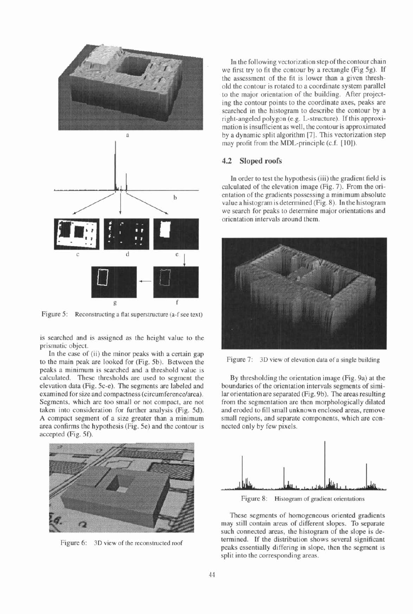



Figure 5: Reconstructing a flat superstructure (a-f see text)

is searched and is assigned as the height value to the prismatic object.

In the case of (ii) the minor peaks with a certain gap to the main peak are looked for (Fig. 5b). Between the peaks a minimum is searched and a threshold value is calculated. These thresholds are used to segment the elevation data (Fig. 5c-e). The segments are labeled and examined for size and compactness (circumferencelarea). Segments, which are too small or not compact, are not taken into consideration for further analysis (Fig. 5d). A compact segment of a size greater than a minimum area confirms the hypothesis (Fig. 5e) and the contour is accepted (Fig. 5f).



In the following vectorization step of the contour chain we first try to fit the contour by a rectangle (Fig 5g). If the assessment of the fit is lower than a given threshold the contour is rotated to a coordinate system parallel to the major orientation of the building. After projecting the contour points to the coordinate axes, peaks are searched in the histogram to describe the contour by a right-angeled polygon (e.g. L-structure). If this approximation is insufficient as well, thecontour is approximated by a dynamic split algorithm [7]. This vectorization step may profit from the MDL-principle (c.f. [10]).

#### **4.2 Sloped roofs**

In order to test the hypothesis (iii) the gradient field is calculated of the elevation image (Fig. 7). From the orientation of the gradients possessing a minimum absolute value a histogram is determined (Fig. 8). In the histogram we search for peaks to determine major orientations and orientation intervals around them.



Figure 7: 3D view of elevation data of a single building

By thresholding the orientation image (Fig. 9a) at the boundaries of the orientation intervals segments of similar orientation are separated (Fig. 9b). The areas resulting from the segmentation are then morphologically dilated and eroded to fill small unknown enclosed areas, remove small regions, and separate components, which are connected only by few pixels.



Figure 8: Histogram of gradient orientations

These segments of homogeneous oriented gradients may still contain areas of different slopes. To separate such connected areas, the histogram of the slope is de-Figure 6: 3D view of the reconstructed roof termined. If the distribution shows several significant peaks essentially differing in slope, then the segment is split into the corresponding areas.